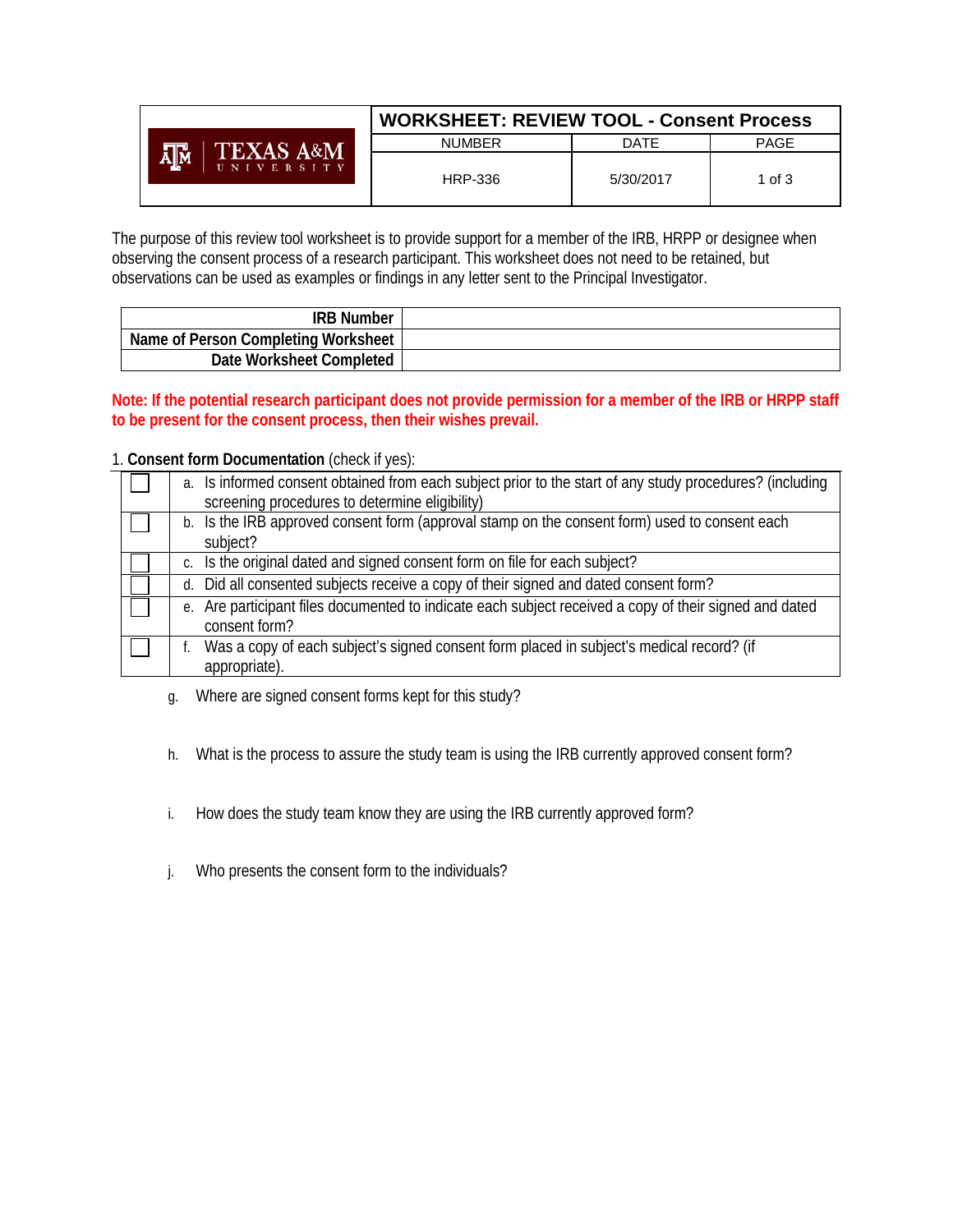|                      | <b>WORKSHEET: REVIEW TOOL - Consent Process</b> |           |             |
|----------------------|-------------------------------------------------|-----------|-------------|
| <b>TEXAS A&amp;M</b> | <b>NUMBER</b>                                   | DATE      | <b>PAGE</b> |
| UNIVERSITY           | HRP-336                                         | 5/30/2017 | 1 of 3      |

The purpose of this review tool worksheet is to provide support for a member of the IRB, HRPP or designee when observing the consent process of a research participant. This worksheet does not need to be retained, but observations can be used as examples or findings in any letter sent to the Principal Investigator.

| <b>IRB Number</b>                   |  |
|-------------------------------------|--|
| Name of Person Completing Worksheet |  |
| Date Worksheet Completed            |  |

**Note: If the potential research participant does not provide permission for a member of the IRB or HRPP staff to be present for the consent process, then their wishes prevail.**

## 1. **Consent form Documentation** (check if yes):

| a. Is informed consent obtained from each subject prior to the start of any study procedures? (including<br>screening procedures to determine eligibility) |
|------------------------------------------------------------------------------------------------------------------------------------------------------------|
| b. Is the IRB approved consent form (approval stamp on the consent form) used to consent each<br>subject?                                                  |
| c. Is the original dated and signed consent form on file for each subject?                                                                                 |
| d. Did all consented subjects receive a copy of their signed and dated consent form?                                                                       |
| e. Are participant files documented to indicate each subject received a copy of their signed and dated<br>consent form?                                    |
| Was a copy of each subject's signed consent form placed in subject's medical record? (if<br>appropriate).                                                  |

- g. Where are signed consent forms kept for this study?
- h. What is the process to assure the study team is using the IRB currently approved consent form?
- i. How does the study team know they are using the IRB currently approved form?
- j. Who presents the consent form to the individuals?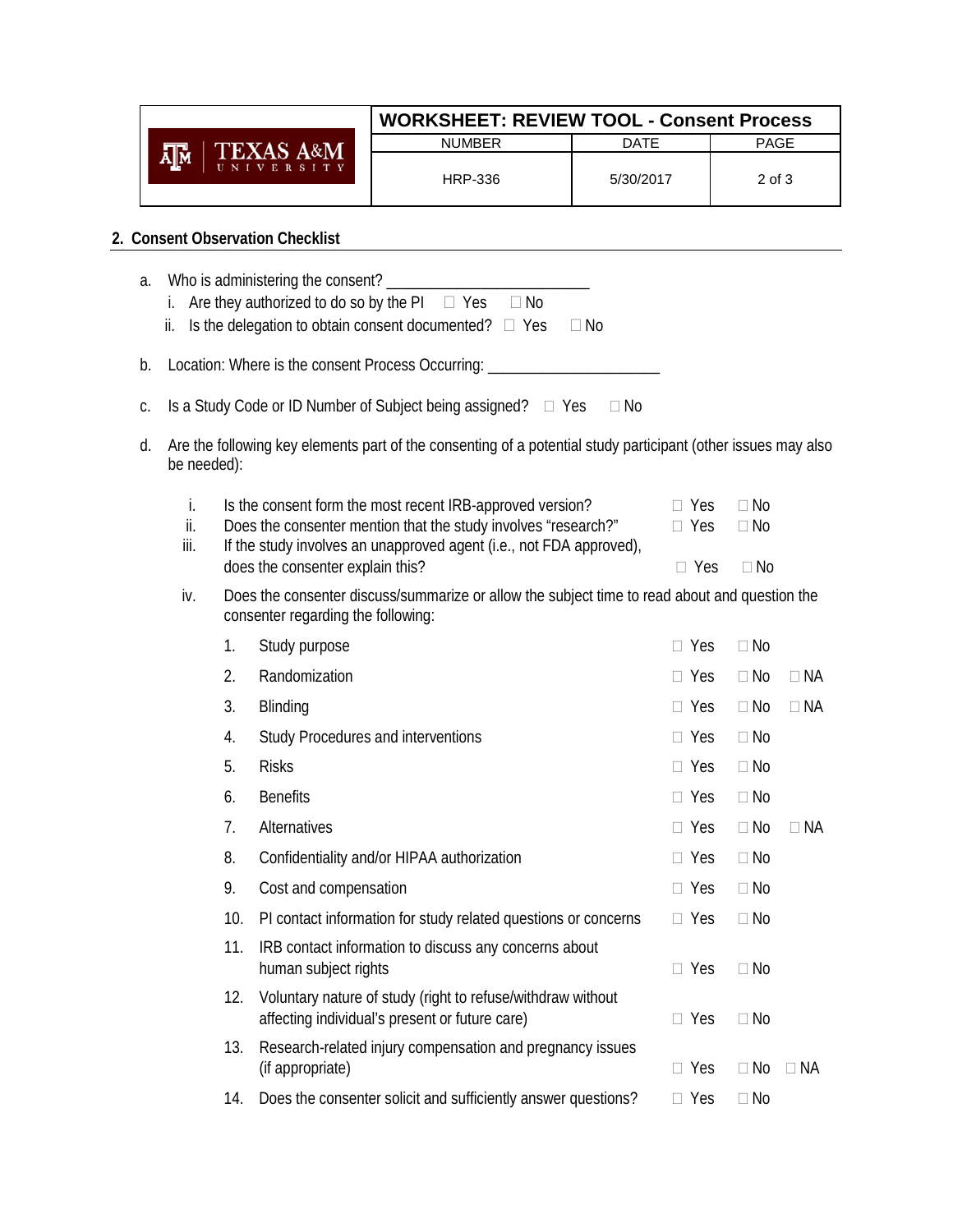|                      | <b>WORKSHEET: REVIEW TOOL - Consent Process</b> |             |             |  |
|----------------------|-------------------------------------------------|-------------|-------------|--|
| <b>TEXAS A&amp;M</b> | <b>NUMBER</b>                                   | <b>DATE</b> | <b>PAGE</b> |  |
| UNIVERSITY           | <b>HRP-336</b>                                  | 5/30/2017   | 2 of 3      |  |
|                      |                                                 |             |             |  |

## **2. Consent Observation Checklist**

| а. | ii.               |     | Are they authorized to do so by the $PI$ $\Box$ Yes<br>$\Box$ No<br>Is the delegation to obtain consent documented? $\square$ Yes<br>$\Box$ No                                                     |                          |                        |           |
|----|-------------------|-----|----------------------------------------------------------------------------------------------------------------------------------------------------------------------------------------------------|--------------------------|------------------------|-----------|
| b. |                   |     | Location: Where is the consent Process Occurring: ______________________________                                                                                                                   |                          |                        |           |
| C. |                   |     | Is a Study Code or ID Number of Subject being assigned? □ Yes<br>$\Box$ No                                                                                                                         |                          |                        |           |
| d. | be needed):       |     | Are the following key elements part of the consenting of a potential study participant (other issues may also                                                                                      |                          |                        |           |
|    | i.<br>ii.<br>iii. |     | Is the consent form the most recent IRB-approved version?<br>Does the consenter mention that the study involves "research?"<br>If the study involves an unapproved agent (i.e., not FDA approved), | $\Box$ Yes<br>$\Box$ Yes | $\Box$ No<br>$\Box$ No |           |
|    | iv.               |     | does the consenter explain this?<br>Does the consenter discuss/summarize or allow the subject time to read about and question the<br>consenter regarding the following:                            | $\Box$ Yes               | $\Box$ No              |           |
|    |                   | 1.  | Study purpose                                                                                                                                                                                      | $\Box$ Yes               | $\Box$ No              |           |
|    |                   | 2.  | Randomization                                                                                                                                                                                      | $\Box$ Yes               | $\Box$ No              | $\Box$ NA |
|    |                   | 3.  | Blinding                                                                                                                                                                                           | $\Box$ Yes               | $\Box$ No              | $\Box$ NA |
|    |                   | 4.  | Study Procedures and interventions                                                                                                                                                                 | $\Box$ Yes               | $\Box$ No              |           |
|    |                   | 5.  | <b>Risks</b>                                                                                                                                                                                       | $\Box$ Yes               | $\Box$ No              |           |
|    |                   | 6.  | <b>Benefits</b>                                                                                                                                                                                    | $\Box$ Yes               | $\Box$ No              |           |
|    |                   | 7.  | Alternatives                                                                                                                                                                                       | $\Box$ Yes               | $\Box$ No              | $\Box$ NA |
|    |                   | 8.  | Confidentiality and/or HIPAA authorization                                                                                                                                                         | $\Box$ Yes               | $\Box$ No              |           |
|    |                   | 9.  | Cost and compensation                                                                                                                                                                              | $\Box$ Yes               | $\Box$ No              |           |
|    |                   | 10. | PI contact information for study related questions or concerns                                                                                                                                     | $\Box$ Yes               | $\Box$ No              |           |
|    |                   | 11. | IRB contact information to discuss any concerns about<br>human subject rights                                                                                                                      | $\Box$ Yes               | $\Box$ No              |           |
|    |                   | 12. | Voluntary nature of study (right to refuse/withdraw without<br>affecting individual's present or future care)                                                                                      | $\Box$ Yes               | $\Box$ No              |           |
|    |                   | 13. | Research-related injury compensation and pregnancy issues<br>(if appropriate)                                                                                                                      | $\Box$ Yes               | $\Box$ No              | $\Box$ NA |
|    |                   | 14. | Does the consenter solicit and sufficiently answer questions?                                                                                                                                      | Yes                      | $\Box$ No              |           |